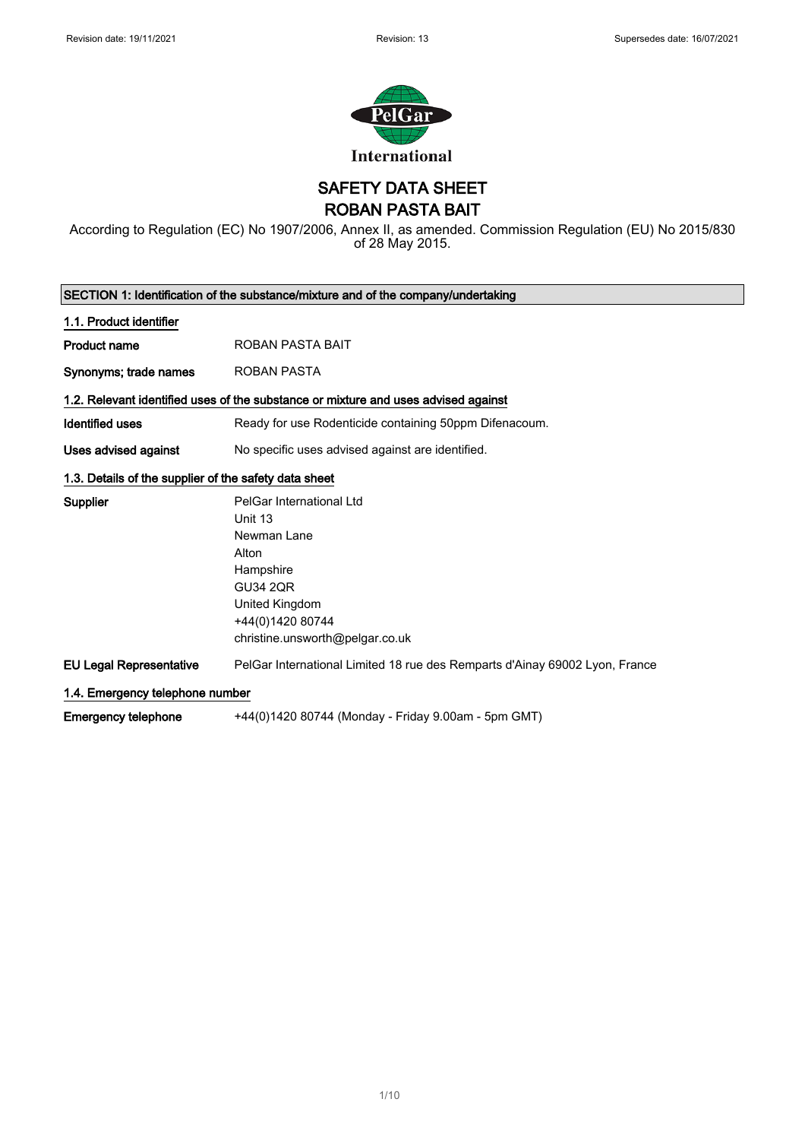

SAFETY DATA SHEET

ROBAN PASTA BAIT

According to Regulation (EC) No 1907/2006, Annex II, as amended. Commission Regulation (EU) No 2015/830 of 28 May 2015.

|                                                       | SECTION 1: Identification of the substance/mixture and of the company/undertaking                                                                                    |
|-------------------------------------------------------|----------------------------------------------------------------------------------------------------------------------------------------------------------------------|
| 1.1. Product identifier                               |                                                                                                                                                                      |
| <b>Product name</b>                                   | ROBAN PASTA BAIT                                                                                                                                                     |
| Synonyms; trade names                                 | <b>ROBAN PASTA</b>                                                                                                                                                   |
|                                                       | 1.2. Relevant identified uses of the substance or mixture and uses advised against                                                                                   |
| <b>Identified uses</b>                                | Ready for use Rodenticide containing 50ppm Difenacoum.                                                                                                               |
| Uses advised against                                  | No specific uses advised against are identified.                                                                                                                     |
| 1.3. Details of the supplier of the safety data sheet |                                                                                                                                                                      |
| <b>Supplier</b>                                       | PelGar International Ltd<br>Unit 13<br>Newman Lane<br>Alton<br>Hampshire<br><b>GU34 2QR</b><br>United Kingdom<br>+44(0)1420 80744<br>christine.unsworth@pelgar.co.uk |
| <b>EU Legal Representative</b>                        | PelGar International Limited 18 rue des Remparts d'Ainay 69002 Lyon, France                                                                                          |
| 1.4. Emergency telephone number                       |                                                                                                                                                                      |
| <b>Emergency telephone</b>                            | +44(0)1420 80744 (Monday - Friday 9.00am - 5pm GMT)                                                                                                                  |

1/ 10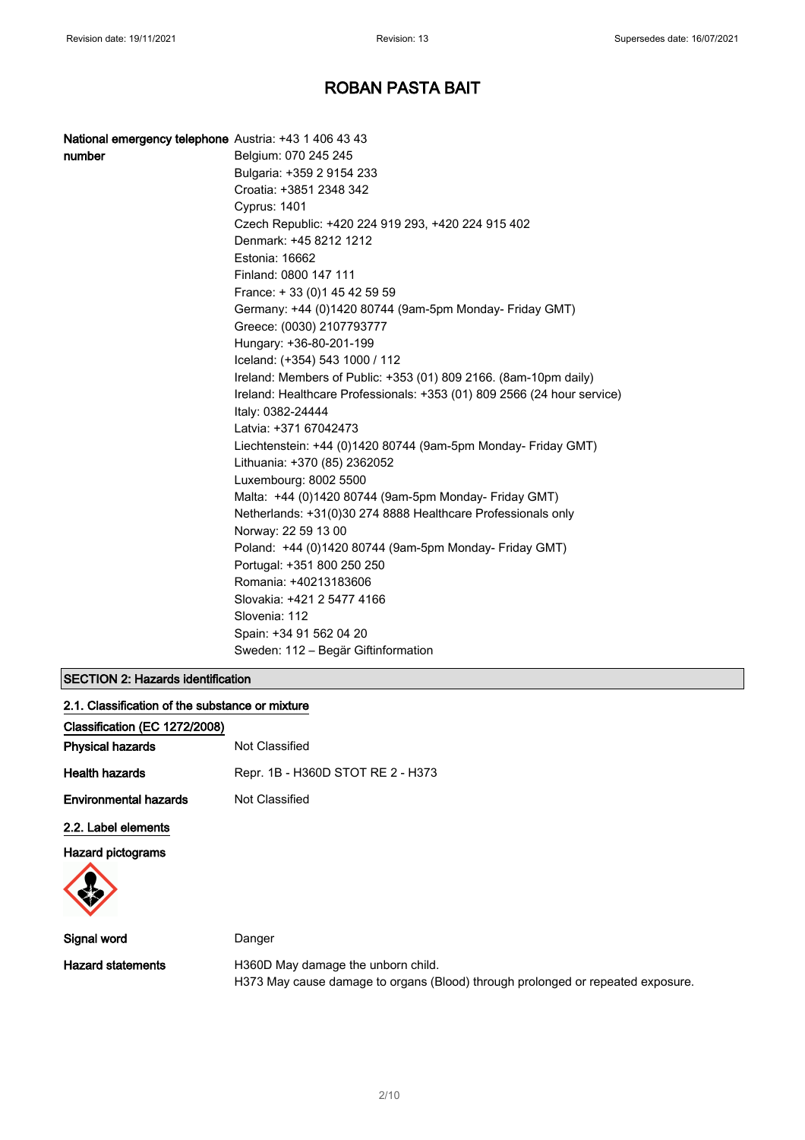| National emergency telephone Austria: +43 1 406 43 43 |                                                                         |
|-------------------------------------------------------|-------------------------------------------------------------------------|
| number                                                | Belgium: 070 245 245                                                    |
|                                                       | Bulgaria: +359 2 9154 233                                               |
|                                                       | Croatia: +3851 2348 342                                                 |
|                                                       | <b>Cyprus: 1401</b>                                                     |
|                                                       | Czech Republic: +420 224 919 293, +420 224 915 402                      |
|                                                       | Denmark: +45 8212 1212                                                  |
|                                                       | Estonia: 16662                                                          |
|                                                       | Finland: 0800 147 111                                                   |
|                                                       | France: + 33 (0) 1 45 42 59 59                                          |
|                                                       | Germany: +44 (0)1420 80744 (9am-5pm Monday- Friday GMT)                 |
|                                                       | Greece: (0030) 2107793777                                               |
|                                                       | Hungary: +36-80-201-199                                                 |
|                                                       | Iceland: (+354) 543 1000 / 112                                          |
|                                                       | Ireland: Members of Public: +353 (01) 809 2166. (8am-10pm daily)        |
|                                                       | Ireland: Healthcare Professionals: +353 (01) 809 2566 (24 hour service) |
|                                                       | Italy: 0382-24444                                                       |
|                                                       | Latvia: +371 67042473                                                   |
|                                                       | Liechtenstein: +44 (0)1420 80744 (9am-5pm Monday- Friday GMT)           |
|                                                       | Lithuania: +370 (85) 2362052                                            |
|                                                       | Luxembourg: 8002 5500                                                   |
|                                                       | Malta: +44 (0)1420 80744 (9am-5pm Monday- Friday GMT)                   |
|                                                       | Netherlands: +31(0)30 274 8888 Healthcare Professionals only            |
|                                                       | Norway: 22 59 13 00                                                     |
|                                                       | Poland: +44 (0)1420 80744 (9am-5pm Monday- Friday GMT)                  |
|                                                       | Portugal: +351 800 250 250                                              |
|                                                       | Romania: +40213183606                                                   |
|                                                       | Slovakia: +421 2 5477 4166                                              |
|                                                       | Slovenia: 112                                                           |
|                                                       | Spain: +34 91 562 04 20                                                 |
|                                                       | Sweden: 112 - Begär Giftinformation                                     |

### SECTION 2: Hazards identification

| 2.1. Classification of the substance or mixture |                                   |
|-------------------------------------------------|-----------------------------------|
| Classification (EC 1272/2008)                   |                                   |
| Physical hazards                                | Not Classified                    |
| Health hazards                                  | Repr. 1B - H360D STOT RE 2 - H373 |
| Environmental hazards                           | Not Classified                    |
| 2.2. Label elements                             |                                   |
| Hazard pictograms                               |                                   |
|                                                 |                                   |
| Sianal word                                     | Danger                            |

Signal word **Danger** Danger Hazard statements **H360D** May damage the unborn child. H373 May cause damage to organs (Blood) through prolonged or repeated exposure.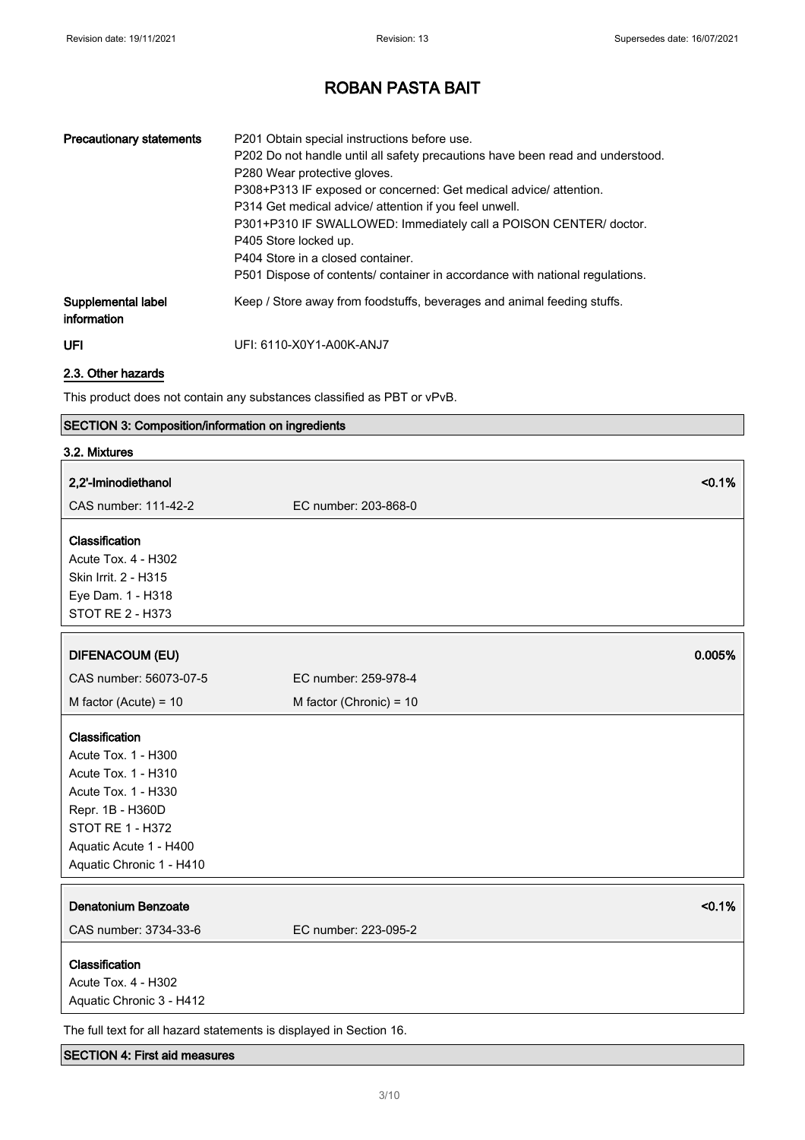| <b>Precautionary statements</b>   | P201 Obtain special instructions before use.<br>P202 Do not handle until all safety precautions have been read and understood.<br>P280 Wear protective gloves.<br>P308+P313 IF exposed or concerned: Get medical advice/ attention.<br>P314 Get medical advice/ attention if you feel unwell.<br>P301+P310 IF SWALLOWED: Immediately call a POISON CENTER/ doctor.<br>P405 Store locked up.<br>P404 Store in a closed container.<br>P501 Dispose of contents/ container in accordance with national regulations. |
|-----------------------------------|------------------------------------------------------------------------------------------------------------------------------------------------------------------------------------------------------------------------------------------------------------------------------------------------------------------------------------------------------------------------------------------------------------------------------------------------------------------------------------------------------------------|
| Supplemental label<br>information | Keep / Store away from foodstuffs, beverages and animal feeding stuffs.                                                                                                                                                                                                                                                                                                                                                                                                                                          |
| UFI                               | UFI: 6110-X0Y1-A00K-ANJ7                                                                                                                                                                                                                                                                                                                                                                                                                                                                                         |

### 2.3. Other hazards

This product does not contain any substances classified as PBT or vPvB.

### SECTION 3: Composition/information on ingredients

| 3.2. Mixtures                                                       |                         |
|---------------------------------------------------------------------|-------------------------|
| 2,2'-Iminodiethanol                                                 | < 0.1%                  |
| CAS number: 111-42-2                                                | EC number: 203-868-0    |
| Classification                                                      |                         |
| Acute Tox. 4 - H302                                                 |                         |
| Skin Irrit. 2 - H315                                                |                         |
| Eye Dam. 1 - H318                                                   |                         |
| <b>STOT RE 2 - H373</b>                                             |                         |
| <b>DIFENACOUM (EU)</b>                                              | 0.005%                  |
| CAS number: 56073-07-5                                              | EC number: 259-978-4    |
|                                                                     |                         |
| M factor (Acute) = $10$                                             | M factor (Chronic) = 10 |
| Classification                                                      |                         |
| Acute Tox. 1 - H300                                                 |                         |
| Acute Tox. 1 - H310                                                 |                         |
| Acute Tox. 1 - H330                                                 |                         |
| Repr. 1B - H360D                                                    |                         |
| <b>STOT RE 1 - H372</b>                                             |                         |
| Aquatic Acute 1 - H400                                              |                         |
| Aquatic Chronic 1 - H410                                            |                         |
| <b>Denatonium Benzoate</b>                                          | < 0.1%                  |
|                                                                     |                         |
| CAS number: 3734-33-6                                               | EC number: 223-095-2    |
| Classification                                                      |                         |
| Acute Tox. 4 - H302                                                 |                         |
| Aquatic Chronic 3 - H412                                            |                         |
| The full text for all hazard statements is displayed in Section 16. |                         |

#### SECTION 4: First aid measures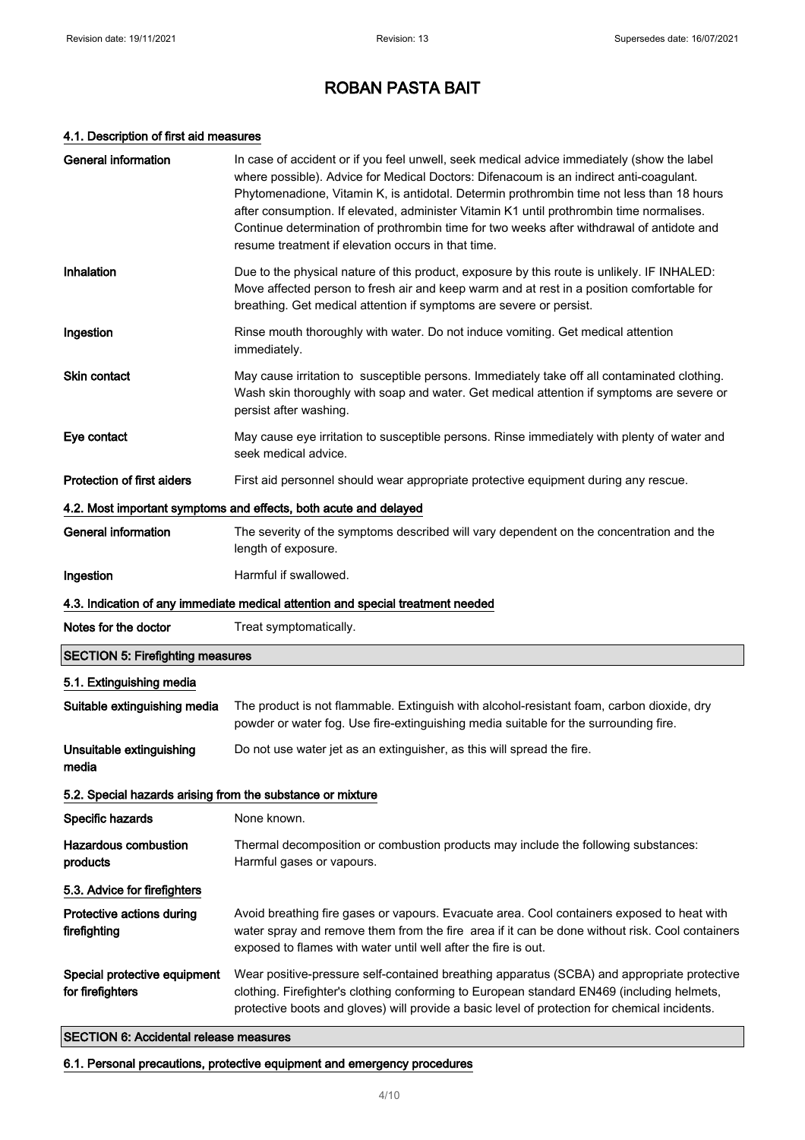#### 4.1. Description of first aid measures

| <b>General information</b>                                 | In case of accident or if you feel unwell, seek medical advice immediately (show the label<br>where possible). Advice for Medical Doctors: Difenacoum is an indirect anti-coagulant.<br>Phytomenadione, Vitamin K, is antidotal. Determin prothrombin time not less than 18 hours<br>after consumption. If elevated, administer Vitamin K1 until prothrombin time normalises.<br>Continue determination of prothrombin time for two weeks after withdrawal of antidote and<br>resume treatment if elevation occurs in that time. |
|------------------------------------------------------------|----------------------------------------------------------------------------------------------------------------------------------------------------------------------------------------------------------------------------------------------------------------------------------------------------------------------------------------------------------------------------------------------------------------------------------------------------------------------------------------------------------------------------------|
| Inhalation                                                 | Due to the physical nature of this product, exposure by this route is unlikely. IF INHALED:<br>Move affected person to fresh air and keep warm and at rest in a position comfortable for<br>breathing. Get medical attention if symptoms are severe or persist.                                                                                                                                                                                                                                                                  |
| Ingestion                                                  | Rinse mouth thoroughly with water. Do not induce vomiting. Get medical attention<br>immediately.                                                                                                                                                                                                                                                                                                                                                                                                                                 |
| <b>Skin contact</b>                                        | May cause irritation to susceptible persons. Immediately take off all contaminated clothing.<br>Wash skin thoroughly with soap and water. Get medical attention if symptoms are severe or<br>persist after washing.                                                                                                                                                                                                                                                                                                              |
| Eye contact                                                | May cause eye irritation to susceptible persons. Rinse immediately with plenty of water and<br>seek medical advice.                                                                                                                                                                                                                                                                                                                                                                                                              |
| Protection of first aiders                                 | First aid personnel should wear appropriate protective equipment during any rescue.                                                                                                                                                                                                                                                                                                                                                                                                                                              |
|                                                            | 4.2. Most important symptoms and effects, both acute and delayed                                                                                                                                                                                                                                                                                                                                                                                                                                                                 |
| <b>General information</b>                                 | The severity of the symptoms described will vary dependent on the concentration and the<br>length of exposure.                                                                                                                                                                                                                                                                                                                                                                                                                   |
| Ingestion                                                  | Harmful if swallowed.                                                                                                                                                                                                                                                                                                                                                                                                                                                                                                            |
|                                                            |                                                                                                                                                                                                                                                                                                                                                                                                                                                                                                                                  |
|                                                            | 4.3. Indication of any immediate medical attention and special treatment needed                                                                                                                                                                                                                                                                                                                                                                                                                                                  |
| Notes for the doctor                                       | Treat symptomatically.                                                                                                                                                                                                                                                                                                                                                                                                                                                                                                           |
| <b>SECTION 5: Firefighting measures</b>                    |                                                                                                                                                                                                                                                                                                                                                                                                                                                                                                                                  |
| 5.1. Extinguishing media                                   |                                                                                                                                                                                                                                                                                                                                                                                                                                                                                                                                  |
| Suitable extinguishing media                               | The product is not flammable. Extinguish with alcohol-resistant foam, carbon dioxide, dry<br>powder or water fog. Use fire-extinguishing media suitable for the surrounding fire.                                                                                                                                                                                                                                                                                                                                                |
| Unsuitable extinguishing<br>media                          | Do not use water jet as an extinguisher, as this will spread the fire.                                                                                                                                                                                                                                                                                                                                                                                                                                                           |
| 5.2. Special hazards arising from the substance or mixture |                                                                                                                                                                                                                                                                                                                                                                                                                                                                                                                                  |
| Specific hazards                                           | None known.                                                                                                                                                                                                                                                                                                                                                                                                                                                                                                                      |
| <b>Hazardous combustion</b><br>products                    | Thermal decomposition or combustion products may include the following substances:<br>Harmful gases or vapours.                                                                                                                                                                                                                                                                                                                                                                                                                  |
| 5.3. Advice for firefighters                               |                                                                                                                                                                                                                                                                                                                                                                                                                                                                                                                                  |
| Protective actions during<br>firefighting                  | Avoid breathing fire gases or vapours. Evacuate area. Cool containers exposed to heat with<br>water spray and remove them from the fire area if it can be done without risk. Cool containers<br>exposed to flames with water until well after the fire is out.                                                                                                                                                                                                                                                                   |

### SECTION 6: Accidental release measures

6.1. Personal precautions, protective equipment and emergency procedures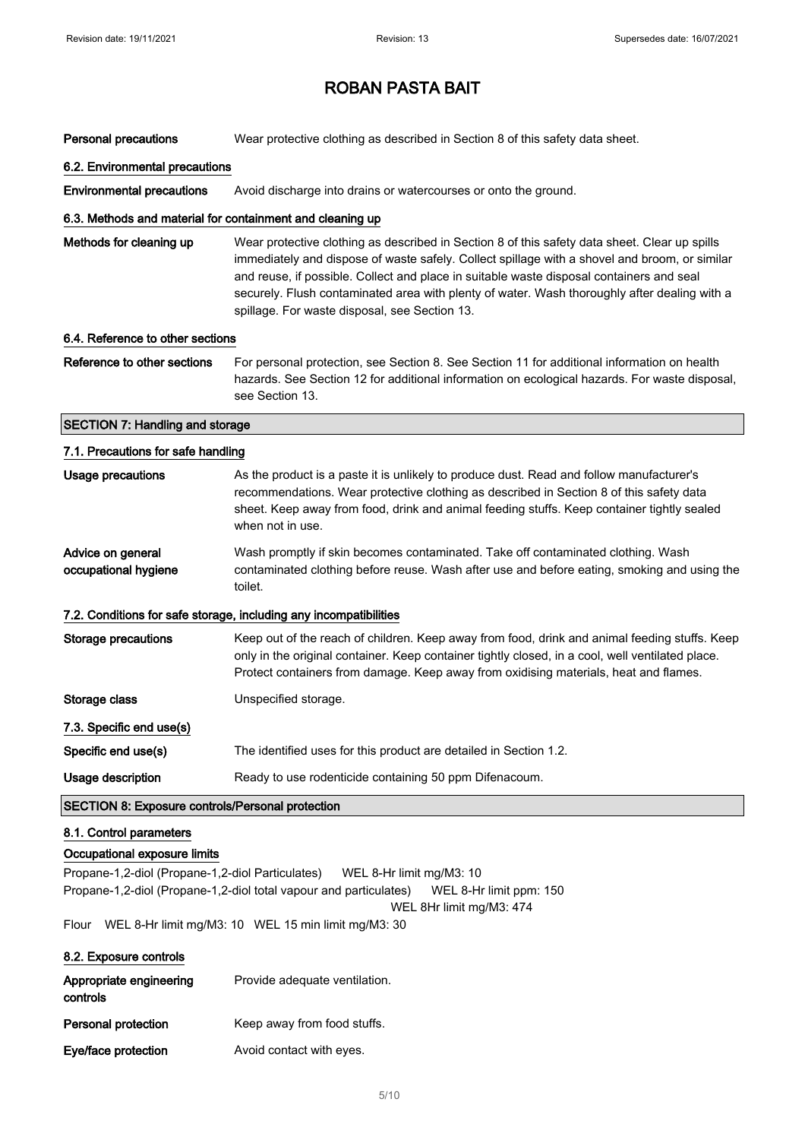| Personal precautions                                                                                                | Wear protective clothing as described in Section 8 of this safety data sheet.                                                                                                                                                                                                                                                                                                                                                               |  |
|---------------------------------------------------------------------------------------------------------------------|---------------------------------------------------------------------------------------------------------------------------------------------------------------------------------------------------------------------------------------------------------------------------------------------------------------------------------------------------------------------------------------------------------------------------------------------|--|
| 6.2. Environmental precautions                                                                                      |                                                                                                                                                                                                                                                                                                                                                                                                                                             |  |
| <b>Environmental precautions</b>                                                                                    | Avoid discharge into drains or watercourses or onto the ground.                                                                                                                                                                                                                                                                                                                                                                             |  |
| 6.3. Methods and material for containment and cleaning up                                                           |                                                                                                                                                                                                                                                                                                                                                                                                                                             |  |
| Methods for cleaning up                                                                                             | Wear protective clothing as described in Section 8 of this safety data sheet. Clear up spills<br>immediately and dispose of waste safely. Collect spillage with a shovel and broom, or similar<br>and reuse, if possible. Collect and place in suitable waste disposal containers and seal<br>securely. Flush contaminated area with plenty of water. Wash thoroughly after dealing with a<br>spillage. For waste disposal, see Section 13. |  |
| 6.4. Reference to other sections                                                                                    |                                                                                                                                                                                                                                                                                                                                                                                                                                             |  |
| Reference to other sections                                                                                         | For personal protection, see Section 8. See Section 11 for additional information on health<br>hazards. See Section 12 for additional information on ecological hazards. For waste disposal,<br>see Section 13.                                                                                                                                                                                                                             |  |
| <b>SECTION 7: Handling and storage</b>                                                                              |                                                                                                                                                                                                                                                                                                                                                                                                                                             |  |
| 7.1. Precautions for safe handling                                                                                  |                                                                                                                                                                                                                                                                                                                                                                                                                                             |  |
| Usage precautions                                                                                                   | As the product is a paste it is unlikely to produce dust. Read and follow manufacturer's<br>recommendations. Wear protective clothing as described in Section 8 of this safety data<br>sheet. Keep away from food, drink and animal feeding stuffs. Keep container tightly sealed<br>when not in use.                                                                                                                                       |  |
| Advice on general<br>occupational hygiene                                                                           | Wash promptly if skin becomes contaminated. Take off contaminated clothing. Wash<br>contaminated clothing before reuse. Wash after use and before eating, smoking and using the<br>toilet.                                                                                                                                                                                                                                                  |  |
|                                                                                                                     | 7.2. Conditions for safe storage, including any incompatibilities                                                                                                                                                                                                                                                                                                                                                                           |  |
| <b>Storage precautions</b>                                                                                          | Keep out of the reach of children. Keep away from food, drink and animal feeding stuffs. Keep<br>only in the original container. Keep container tightly closed, in a cool, well ventilated place.<br>Protect containers from damage. Keep away from oxidising materials, heat and flames.                                                                                                                                                   |  |
| Storage class                                                                                                       | Unspecified storage.                                                                                                                                                                                                                                                                                                                                                                                                                        |  |
| 7.3. Specific end use(s)                                                                                            |                                                                                                                                                                                                                                                                                                                                                                                                                                             |  |
| Specific end use(s)                                                                                                 | The identified uses for this product are detailed in Section 1.2.                                                                                                                                                                                                                                                                                                                                                                           |  |
| Usage description                                                                                                   | Ready to use rodenticide containing 50 ppm Difenacoum.                                                                                                                                                                                                                                                                                                                                                                                      |  |
| <b>SECTION 8: Exposure controls/Personal protection</b>                                                             |                                                                                                                                                                                                                                                                                                                                                                                                                                             |  |
| 8.1. Control parameters                                                                                             |                                                                                                                                                                                                                                                                                                                                                                                                                                             |  |
| Occupational exposure limits<br>Propane-1,2-diol (Propane-1,2-diol Particulates)<br>Flour<br>8.2. Exposure controls | WEL 8-Hr limit mg/M3: 10<br>Propane-1,2-diol (Propane-1,2-diol total vapour and particulates)<br>WEL 8-Hr limit ppm: 150<br>WEL 8Hr limit mg/M3: 474<br>WEL 8-Hr limit mg/M3: 10 WEL 15 min limit mg/M3: 30                                                                                                                                                                                                                                 |  |
| Appropriate engineering                                                                                             | Provide adequate ventilation.                                                                                                                                                                                                                                                                                                                                                                                                               |  |
| controls                                                                                                            |                                                                                                                                                                                                                                                                                                                                                                                                                                             |  |

Personal protection Keep away from food stuffs.

Eye/face protection **Avoid contact with eyes.**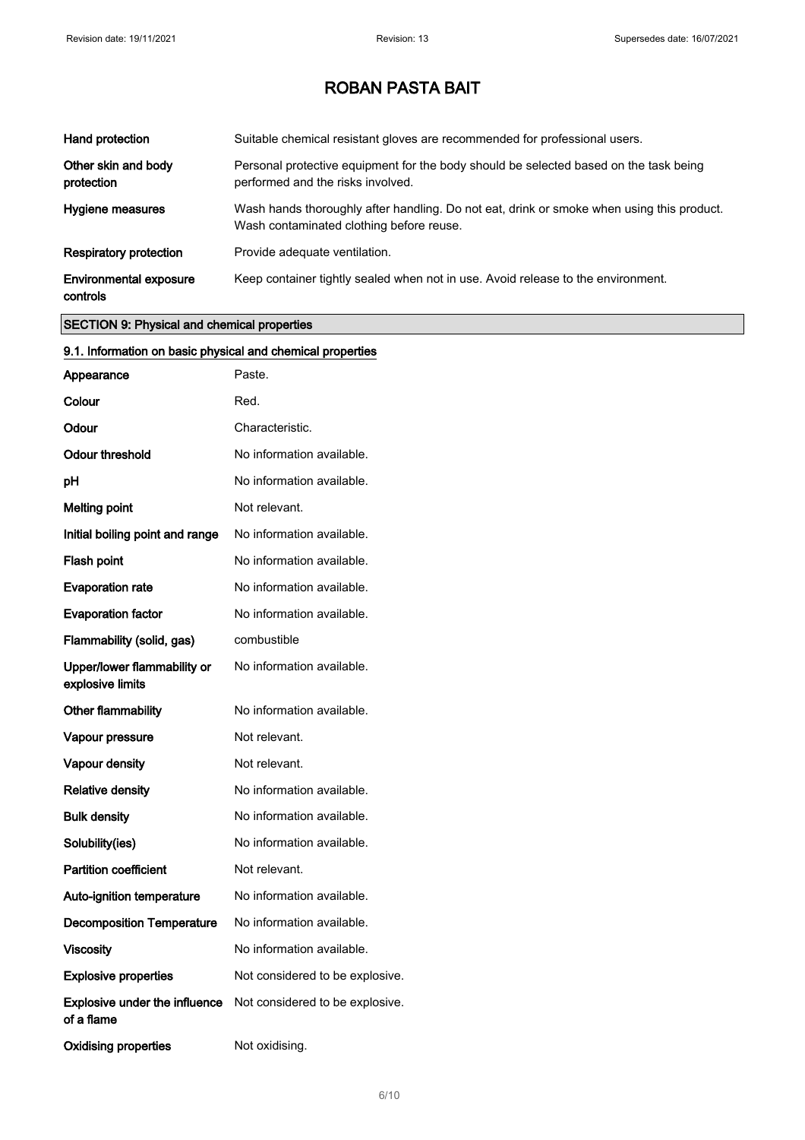| Hand protection                           | Suitable chemical resistant gloves are recommended for professional users.                                                            |
|-------------------------------------------|---------------------------------------------------------------------------------------------------------------------------------------|
| Other skin and body<br>protection         | Personal protective equipment for the body should be selected based on the task being<br>performed and the risks involved.            |
| Hygiene measures                          | Wash hands thoroughly after handling. Do not eat, drink or smoke when using this product.<br>Wash contaminated clothing before reuse. |
| <b>Respiratory protection</b>             | Provide adequate ventilation.                                                                                                         |
| <b>Environmental exposure</b><br>controls | Keep container tightly sealed when not in use. Avoid release to the environment.                                                      |

### SECTION 9: Physical and chemical properties

| 9.1. Information on basic physical and chemical properties |                                 |
|------------------------------------------------------------|---------------------------------|
| Appearance                                                 | Paste.                          |
| Colour                                                     | Red.                            |
| Odour                                                      | Characteristic.                 |
| <b>Odour threshold</b>                                     | No information available.       |
| рH                                                         | No information available.       |
| <b>Melting point</b>                                       | Not relevant.                   |
| Initial boiling point and range                            | No information available.       |
| Flash point                                                | No information available.       |
| <b>Evaporation rate</b>                                    | No information available.       |
| <b>Evaporation factor</b>                                  | No information available.       |
| Flammability (solid, gas)                                  | combustible                     |
| Upper/lower flammability or<br>explosive limits            | No information available.       |
| Other flammability                                         | No information available.       |
| Vapour pressure                                            | Not relevant.                   |
| Vapour density                                             | Not relevant.                   |
| <b>Relative density</b>                                    | No information available.       |
| <b>Bulk density</b>                                        | No information available.       |
| Solubility(ies)                                            | No information available.       |
| <b>Partition coefficient</b>                               | Not relevant.                   |
| Auto-ignition temperature                                  | No information available.       |
| <b>Decomposition Temperature</b>                           | No information available.       |
| <b>Viscosity</b>                                           | No information available.       |
| <b>Explosive properties</b>                                | Not considered to be explosive. |
| <b>Explosive under the influence</b><br>of a flame         | Not considered to be explosive. |
| <b>Oxidising properties</b>                                | Not oxidising.                  |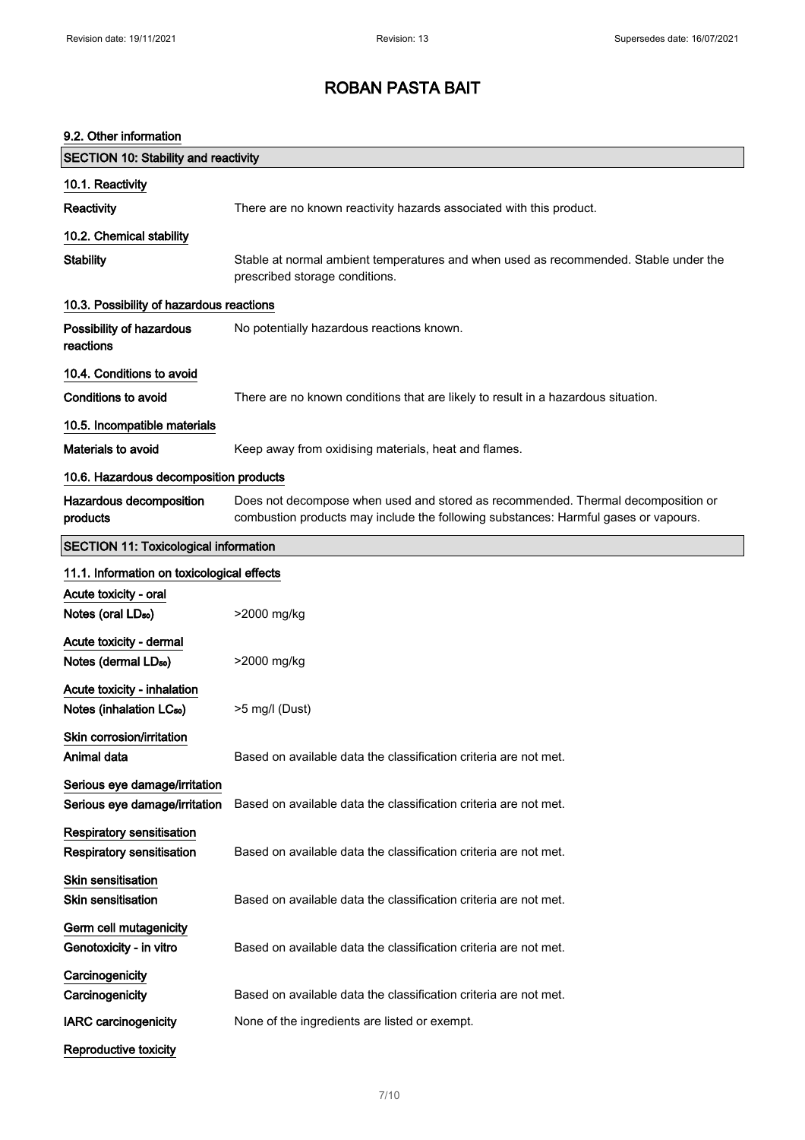### 9.2. Other information

| <b>SECTION 10: Stability and reactivity</b>                          |                                                                                                                                                                         |
|----------------------------------------------------------------------|-------------------------------------------------------------------------------------------------------------------------------------------------------------------------|
| 10.1. Reactivity                                                     |                                                                                                                                                                         |
| Reactivity                                                           | There are no known reactivity hazards associated with this product.                                                                                                     |
| 10.2. Chemical stability                                             |                                                                                                                                                                         |
| <b>Stability</b>                                                     | Stable at normal ambient temperatures and when used as recommended. Stable under the<br>prescribed storage conditions.                                                  |
| 10.3. Possibility of hazardous reactions                             |                                                                                                                                                                         |
| Possibility of hazardous<br>reactions                                | No potentially hazardous reactions known.                                                                                                                               |
| 10.4. Conditions to avoid                                            |                                                                                                                                                                         |
| Conditions to avoid                                                  | There are no known conditions that are likely to result in a hazardous situation.                                                                                       |
| 10.5. Incompatible materials                                         |                                                                                                                                                                         |
| <b>Materials to avoid</b>                                            | Keep away from oxidising materials, heat and flames.                                                                                                                    |
| 10.6. Hazardous decomposition products                               |                                                                                                                                                                         |
| Hazardous decomposition<br>products                                  | Does not decompose when used and stored as recommended. Thermal decomposition or<br>combustion products may include the following substances: Harmful gases or vapours. |
| <b>SECTION 11: Toxicological information</b>                         |                                                                                                                                                                         |
| 11.1. Information on toxicological effects                           |                                                                                                                                                                         |
| Acute toxicity - oral                                                |                                                                                                                                                                         |
| Notes (oral LD <sub>50</sub> )                                       | >2000 mg/kg                                                                                                                                                             |
| Acute toxicity - dermal<br>Notes (dermal LD <sub>50</sub> )          | >2000 mg/kg                                                                                                                                                             |
| Acute toxicity - inhalation<br>Notes (inhalation LC <sub>50</sub> )  | >5 mg/l (Dust)                                                                                                                                                          |
| Skin corrosion/irritation<br>Animal data                             | Based on available data the classification criteria are not met.                                                                                                        |
| Serious eye damage/irritation<br>Serious eye damage/irritation       | Based on available data the classification criteria are not met.                                                                                                        |
| <b>Respiratory sensitisation</b><br><b>Respiratory sensitisation</b> | Based on available data the classification criteria are not met.                                                                                                        |
| Skin sensitisation<br><b>Skin sensitisation</b>                      | Based on available data the classification criteria are not met.                                                                                                        |
| Germ cell mutagenicity<br>Genotoxicity - in vitro                    | Based on available data the classification criteria are not met.                                                                                                        |
| Carcinogenicity                                                      |                                                                                                                                                                         |
| Carcinogenicity                                                      | Based on available data the classification criteria are not met.                                                                                                        |
| <b>IARC</b> carcinogenicity                                          | None of the ingredients are listed or exempt.                                                                                                                           |
| Reproductive toxicity                                                |                                                                                                                                                                         |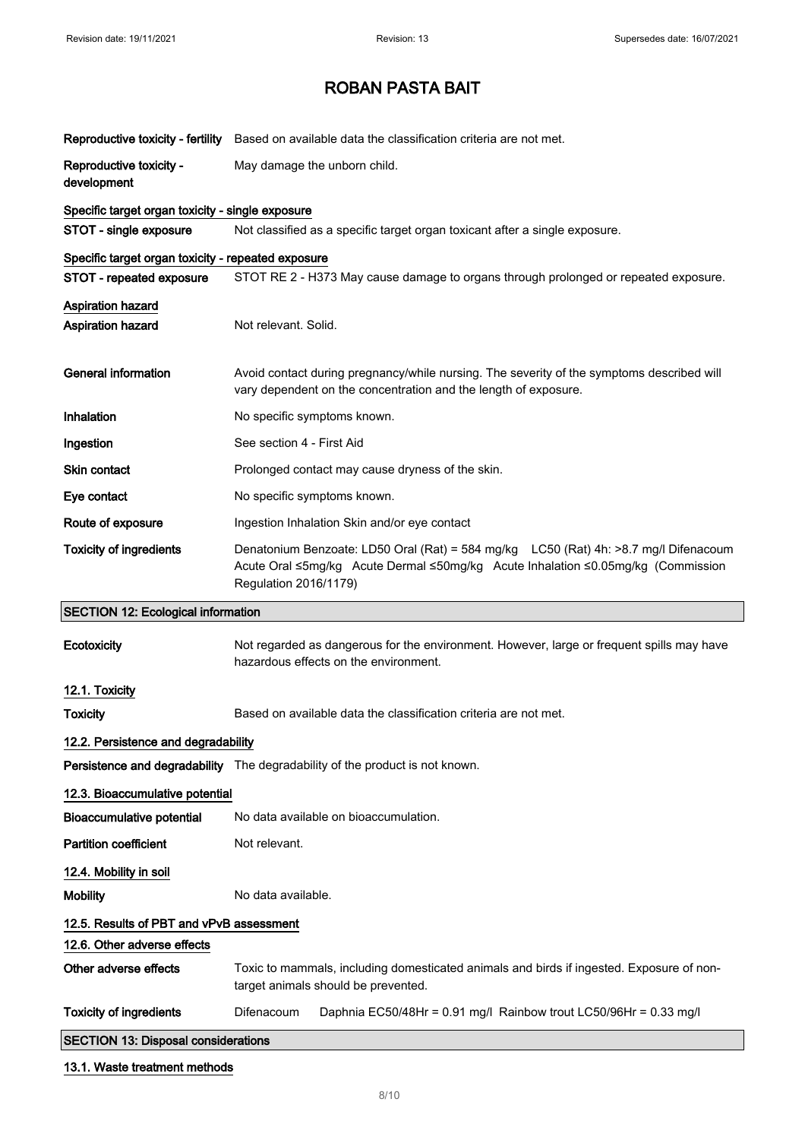|                                                    | Reproductive toxicity - fertility Based on available data the classification criteria are not met.                                                                                                |
|----------------------------------------------------|---------------------------------------------------------------------------------------------------------------------------------------------------------------------------------------------------|
| Reproductive toxicity -                            | May damage the unborn child.                                                                                                                                                                      |
| development                                        |                                                                                                                                                                                                   |
| Specific target organ toxicity - single exposure   |                                                                                                                                                                                                   |
| STOT - single exposure                             | Not classified as a specific target organ toxicant after a single exposure.                                                                                                                       |
| Specific target organ toxicity - repeated exposure |                                                                                                                                                                                                   |
| STOT - repeated exposure                           | STOT RE 2 - H373 May cause damage to organs through prolonged or repeated exposure.                                                                                                               |
| <b>Aspiration hazard</b>                           |                                                                                                                                                                                                   |
| <b>Aspiration hazard</b>                           | Not relevant. Solid.                                                                                                                                                                              |
|                                                    |                                                                                                                                                                                                   |
| <b>General information</b>                         | Avoid contact during pregnancy/while nursing. The severity of the symptoms described will<br>vary dependent on the concentration and the length of exposure.                                      |
| Inhalation                                         | No specific symptoms known.                                                                                                                                                                       |
| Ingestion                                          | See section 4 - First Aid                                                                                                                                                                         |
| Skin contact                                       | Prolonged contact may cause dryness of the skin.                                                                                                                                                  |
| Eye contact                                        | No specific symptoms known.                                                                                                                                                                       |
| Route of exposure                                  | Ingestion Inhalation Skin and/or eye contact                                                                                                                                                      |
| <b>Toxicity of ingredients</b>                     | Denatonium Benzoate: LD50 Oral (Rat) = 584 mg/kg LC50 (Rat) 4h: >8.7 mg/l Difenacoum<br>Acute Oral ≤5mg/kg Acute Dermal ≤50mg/kg Acute Inhalation ≤0.05mg/kg (Commission<br>Regulation 2016/1179) |
|                                                    |                                                                                                                                                                                                   |
| <b>SECTION 12: Ecological information</b>          |                                                                                                                                                                                                   |
| Ecotoxicity                                        | Not regarded as dangerous for the environment. However, large or frequent spills may have<br>hazardous effects on the environment.                                                                |
|                                                    |                                                                                                                                                                                                   |
| 12.1. Toxicity<br><b>Toxicity</b>                  | Based on available data the classification criteria are not met.                                                                                                                                  |
| 12.2. Persistence and degradability                |                                                                                                                                                                                                   |
|                                                    | Persistence and degradability The degradability of the product is not known.                                                                                                                      |
| 12.3. Bioaccumulative potential                    |                                                                                                                                                                                                   |
| <b>Bioaccumulative potential</b>                   | No data available on bioaccumulation.                                                                                                                                                             |
| <b>Partition coefficient</b>                       | Not relevant.                                                                                                                                                                                     |
| 12.4. Mobility in soil                             |                                                                                                                                                                                                   |
| <b>Mobility</b>                                    | No data available.                                                                                                                                                                                |
| 12.5. Results of PBT and vPvB assessment           |                                                                                                                                                                                                   |
| 12.6. Other adverse effects                        |                                                                                                                                                                                                   |
| Other adverse effects                              | Toxic to mammals, including domesticated animals and birds if ingested. Exposure of non-<br>target animals should be prevented.                                                                   |
| <b>Toxicity of ingredients</b>                     | Difenacoum<br>Daphnia EC50/48Hr = 0.91 mg/l Rainbow trout LC50/96Hr = 0.33 mg/l                                                                                                                   |
| <b>SECTION 13: Disposal considerations</b>         |                                                                                                                                                                                                   |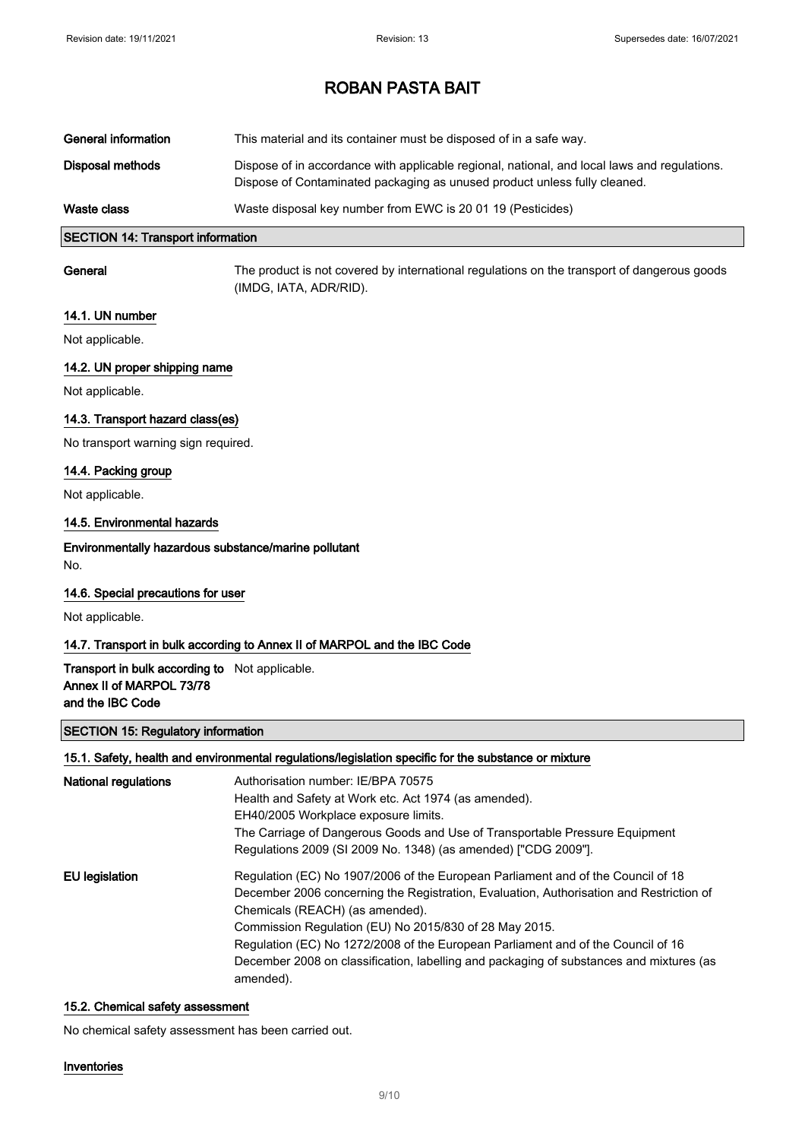| General information | This material and its container must be disposed of in a safe way.                                                                                                        |
|---------------------|---------------------------------------------------------------------------------------------------------------------------------------------------------------------------|
| Disposal methods    | Dispose of in accordance with applicable regional, national, and local laws and regulations.<br>Dispose of Contaminated packaging as unused product unless fully cleaned. |
| Waste class         | Waste disposal key number from EWC is 20 01 19 (Pesticides)                                                                                                               |

### SECTION 14: Transport information

General The product is not covered by international regulations on the transport of dangerous goods (IMDG, IATA, ADR/RID).

#### 14.1. UN number

Not applicable.

#### 14.2. UN proper shipping name

Not applicable.

#### 14.3. Transport hazard class(es)

No transport warning sign required.

#### 14.4. Packing group

Not applicable.

#### 14.5. Environmental hazards

### Environmentally hazardous substance/marine pollutant

No.

#### 14.6. Special precautions for user

Not applicable.

#### 14.7. Transport in bulk according to Annex II of MARPOL and the IBC Code

### Transport in bulk according to Not applicable. Annex II of MARPOL 73/78 and the IBC Code

#### SECTION 15: Regulatory information

#### 15.1. Safety, health and environmental regulations/legislation specific for the substance or mixture

| <b>National regulations</b> | Authorisation number: IE/BPA 70575<br>Health and Safety at Work etc. Act 1974 (as amended).<br>EH40/2005 Workplace exposure limits.<br>The Carriage of Dangerous Goods and Use of Transportable Pressure Equipment<br>Regulations 2009 (SI 2009 No. 1348) (as amended) ["CDG 2009"].                                                                                                                                                                                 |
|-----------------------------|----------------------------------------------------------------------------------------------------------------------------------------------------------------------------------------------------------------------------------------------------------------------------------------------------------------------------------------------------------------------------------------------------------------------------------------------------------------------|
| EU legislation              | Regulation (EC) No 1907/2006 of the European Parliament and of the Council of 18<br>December 2006 concerning the Registration, Evaluation, Authorisation and Restriction of<br>Chemicals (REACH) (as amended).<br>Commission Regulation (EU) No 2015/830 of 28 May 2015.<br>Regulation (EC) No 1272/2008 of the European Parliament and of the Council of 16<br>December 2008 on classification, labelling and packaging of substances and mixtures (as<br>amended). |

#### 15.2. Chemical safety assessment

No chemical safety assessment has been carried out.

#### Inventories